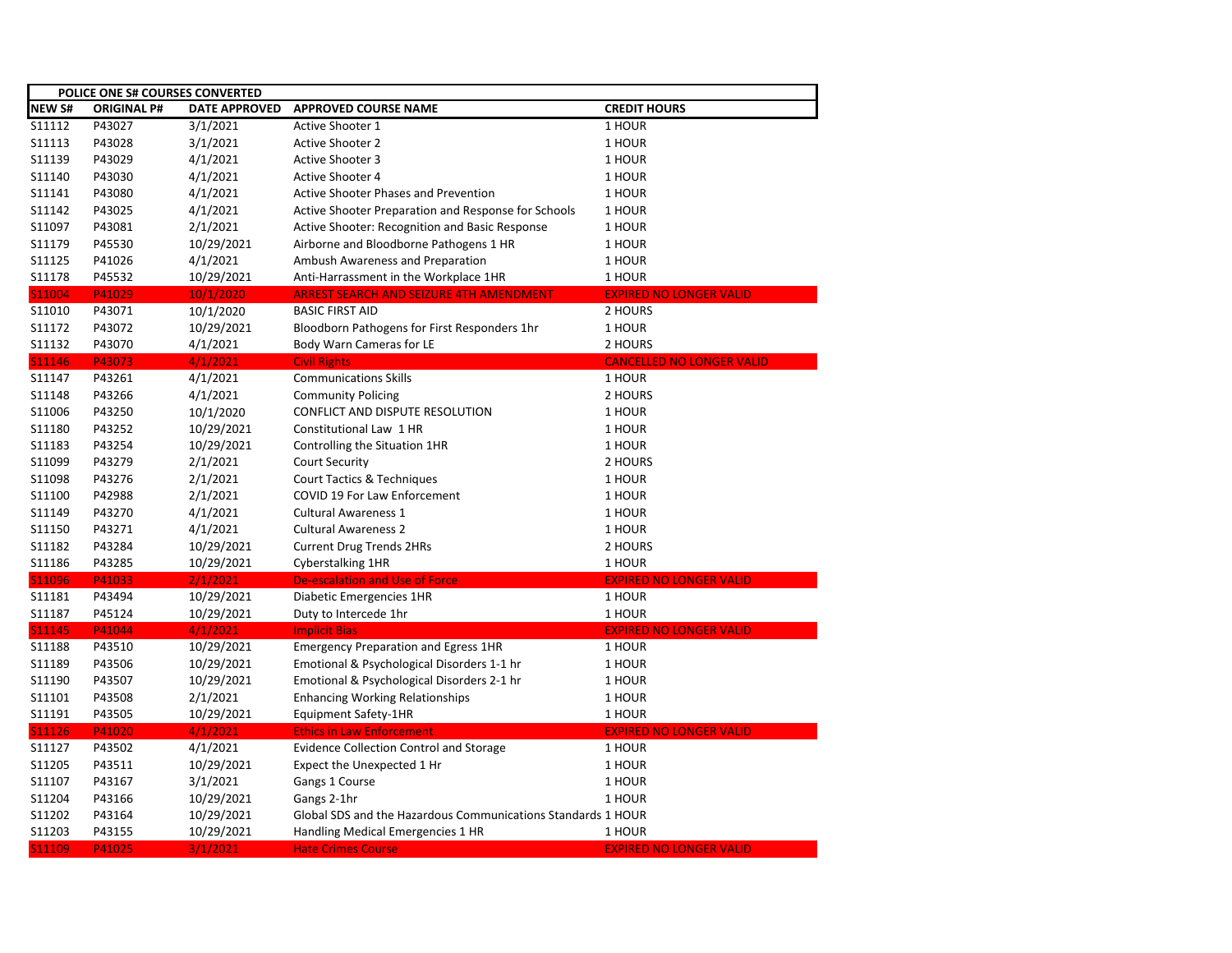| POLICE ONE S# COURSES CONVERTED |                    |                      |                                                              |                                  |  |  |
|---------------------------------|--------------------|----------------------|--------------------------------------------------------------|----------------------------------|--|--|
| <b>NEW S#</b>                   | <b>ORIGINAL P#</b> | <b>DATE APPROVED</b> | <b>APPROVED COURSE NAME</b>                                  | <b>CREDIT HOURS</b>              |  |  |
| S11112                          | P43027             | 3/1/2021             | Active Shooter 1                                             | 1 HOUR                           |  |  |
| S11113                          | P43028             | 3/1/2021             | <b>Active Shooter 2</b>                                      | 1 HOUR                           |  |  |
| S11139                          | P43029             | 4/1/2021             | <b>Active Shooter 3</b>                                      | 1 HOUR                           |  |  |
| S11140                          | P43030             | 4/1/2021             | Active Shooter 4                                             | 1 HOUR                           |  |  |
| S11141                          | P43080             | 4/1/2021             | Active Shooter Phases and Prevention                         | 1 HOUR                           |  |  |
| S11142                          | P43025             | 4/1/2021             | Active Shooter Preparation and Response for Schools          | 1 HOUR                           |  |  |
| S11097                          | P43081             | 2/1/2021             | Active Shooter: Recognition and Basic Response               | 1 HOUR                           |  |  |
| S11179                          | P45530             | 10/29/2021           | Airborne and Bloodborne Pathogens 1 HR                       | 1 HOUR                           |  |  |
| S11125                          | P41026             | 4/1/2021             | Ambush Awareness and Preparation                             | 1 HOUR                           |  |  |
| S11178                          | P45532             | 10/29/2021           | Anti-Harrassment in the Workplace 1HR                        | 1 HOUR                           |  |  |
| S11004                          | P41029             | 10/1/2020            | <b>ARREST SEARCH AND SEIZURE 4TH AMENDMENT</b>               | <b>EXPIRED NO LONGER VALID</b>   |  |  |
| S11010                          | P43071             | 10/1/2020            | <b>BASIC FIRST AID</b>                                       | 2 HOURS                          |  |  |
| S11172                          | P43072             | 10/29/2021           | Bloodborn Pathogens for First Responders 1hr                 | 1 HOUR                           |  |  |
| S11132                          | P43070             | 4/1/2021             | Body Warn Cameras for LE                                     | 2 HOURS                          |  |  |
| S11146                          | P43073             | 4/1/2021             | <b>Civil Rights</b>                                          | <b>CANCELLED NO LONGER VALID</b> |  |  |
| S11147                          | P43261             | 4/1/2021             | <b>Communications Skills</b>                                 | 1 HOUR                           |  |  |
| S11148                          | P43266             | 4/1/2021             | <b>Community Policing</b>                                    | 2 HOURS                          |  |  |
| S11006                          | P43250             | 10/1/2020            | <b>CONFLICT AND DISPUTE RESOLUTION</b>                       | 1 HOUR                           |  |  |
| S11180                          | P43252             | 10/29/2021           | Constitutional Law 1 HR                                      | 1 HOUR                           |  |  |
| S11183                          | P43254             | 10/29/2021           | Controlling the Situation 1HR                                | 1 HOUR                           |  |  |
| S11099                          | P43279             | 2/1/2021             | <b>Court Security</b>                                        | 2 HOURS                          |  |  |
| S11098                          | P43276             | 2/1/2021             | Court Tactics & Techniques                                   | 1 HOUR                           |  |  |
| S11100                          | P42988             | 2/1/2021             | <b>COVID 19 For Law Enforcement</b>                          | 1 HOUR                           |  |  |
| S11149                          | P43270             | 4/1/2021             | <b>Cultural Awareness 1</b>                                  | 1 HOUR                           |  |  |
| S11150                          | P43271             | 4/1/2021             | <b>Cultural Awareness 2</b>                                  | 1 HOUR                           |  |  |
| S11182                          | P43284             | 10/29/2021           | <b>Current Drug Trends 2HRs</b>                              | 2 HOURS                          |  |  |
| S11186                          | P43285             | 10/29/2021           | Cyberstalking 1HR                                            | 1 HOUR                           |  |  |
| S11096                          | P41033             | 2/1/2021             | De-escalation and Use of Force                               | <b>EXPIRED NO LONGER VALID</b>   |  |  |
| S11181                          | P43494             | 10/29/2021           | Diabetic Emergencies 1HR                                     | 1 HOUR                           |  |  |
| S11187                          | P45124             | 10/29/2021           | Duty to Intercede 1hr                                        | 1 HOUR                           |  |  |
| S11145                          | P41044             | 4/1/2021             | <b>Implicit Bias</b>                                         | <b>EXPIRED NO LONGER VALID</b>   |  |  |
| S11188                          | P43510             | 10/29/2021           | <b>Emergency Preparation and Egress 1HR</b>                  | 1 HOUR                           |  |  |
| S11189                          | P43506             | 10/29/2021           | Emotional & Psychological Disorders 1-1 hr                   | 1 HOUR                           |  |  |
| S11190                          | P43507             | 10/29/2021           | Emotional & Psychological Disorders 2-1 hr                   | 1 HOUR                           |  |  |
| S11101                          | P43508             | 2/1/2021             | <b>Enhancing Working Relationships</b>                       | 1 HOUR                           |  |  |
| S11191                          | P43505             | 10/29/2021           | Equipment Safety-1HR                                         | 1 HOUR                           |  |  |
| S11126                          | P41020             | 4/1/2021             | <b>Ethics in Law Enforcement</b>                             | <b>EXPIRED NO LONGER VALID</b>   |  |  |
| S11127                          | P43502             | 4/1/2021             | <b>Evidence Collection Control and Storage</b>               | 1 HOUR                           |  |  |
| S11205                          | P43511             | 10/29/2021           | Expect the Unexpected 1 Hr                                   | 1 HOUR                           |  |  |
| S11107                          | P43167             | 3/1/2021             | Gangs 1 Course                                               | 1 HOUR                           |  |  |
| S11204                          | P43166             | 10/29/2021           | Gangs 2-1hr                                                  | 1 HOUR                           |  |  |
| S11202                          | P43164             | 10/29/2021           | Global SDS and the Hazardous Communications Standards 1 HOUR |                                  |  |  |
| S11203                          | P43155             | 10/29/2021           | Handling Medical Emergencies 1 HR                            | 1 HOUR                           |  |  |
| S11109                          | P41025             | 3/1/2021             | <b>Hate Crimes Course</b>                                    | <b>EXPIRED NO LONGER VALID</b>   |  |  |